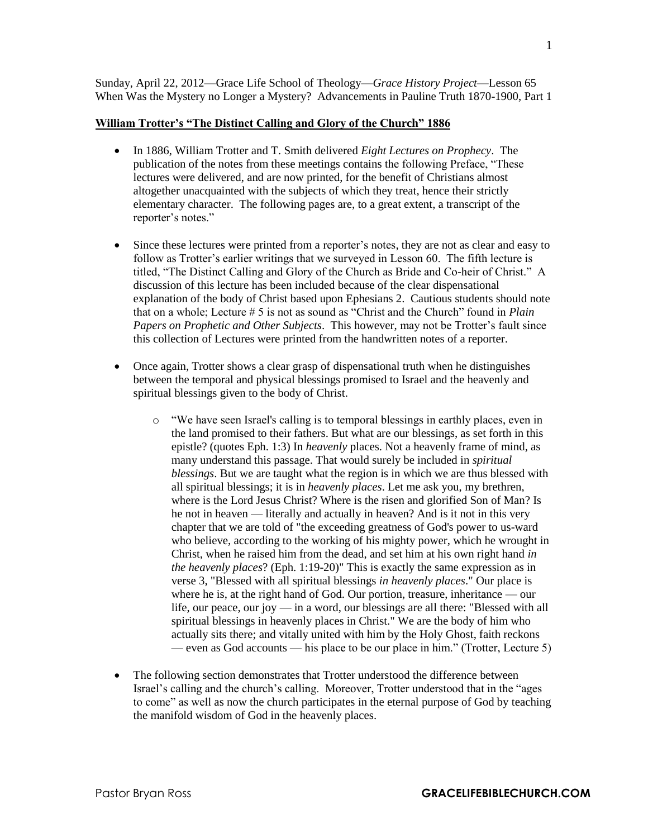Sunday, April 22, 2012—Grace Life School of Theology—*Grace History Project*—Lesson 65 When Was the Mystery no Longer a Mystery? Advancements in Pauline Truth 1870-1900, Part 1

## **William Trotter's "The Distinct Calling and Glory of the Church" 1886**

- In 1886, William Trotter and T. Smith delivered *Eight Lectures on Prophecy*. The publication of the notes from these meetings contains the following Preface, "These lectures were delivered, and are now printed, for the benefit of Christians almost altogether unacquainted with the subjects of which they treat, hence their strictly elementary character. The following pages are, to a great extent, a transcript of the reporter's notes."
- Since these lectures were printed from a reporter's notes, they are not as clear and easy to follow as Trotter's earlier writings that we surveyed in Lesson 60. The fifth lecture is titled, "The Distinct Calling and Glory of the Church as Bride and Co-heir of Christ." A discussion of this lecture has been included because of the clear dispensational explanation of the body of Christ based upon Ephesians 2. Cautious students should note that on a whole; Lecture # 5 is not as sound as "Christ and the Church" found in *Plain Papers on Prophetic and Other Subjects*. This however, may not be Trotter's fault since this collection of Lectures were printed from the handwritten notes of a reporter.
- Once again, Trotter shows a clear grasp of dispensational truth when he distinguishes between the temporal and physical blessings promised to Israel and the heavenly and spiritual blessings given to the body of Christ.
	- o "We have seen Israel's calling is to temporal blessings in earthly places, even in the land promised to their fathers. But what are our blessings, as set forth in this epistle? (quotes Eph. 1:3) In *heavenly* places. Not a heavenly frame of mind, as many understand this passage. That would surely be included in *spiritual blessings*. But we are taught what the region is in which we are thus blessed with all spiritual blessings; it is in *heavenly places*. Let me ask you, my brethren, where is the Lord Jesus Christ? Where is the risen and glorified Son of Man? Is he not in heaven — literally and actually in heaven? And is it not in this very chapter that we are told of "the exceeding greatness of God's power to us-ward who believe, according to the working of his mighty power, which he wrought in Christ, when he raised him from the dead, and set him at his own right hand *in the heavenly places*? (Eph. 1:19-20)" This is exactly the same expression as in verse 3, "Blessed with all spiritual blessings *in heavenly places*." Our place is where he is, at the right hand of God. Our portion, treasure, inheritance — our life, our peace, our joy — in a word, our blessings are all there: "Blessed with all spiritual blessings in heavenly places in Christ." We are the body of him who actually sits there; and vitally united with him by the Holy Ghost, faith reckons — even as God accounts — his place to be our place in him." (Trotter, Lecture 5)
- The following section demonstrates that Trotter understood the difference between Israel's calling and the church's calling. Moreover, Trotter understood that in the "ages to come" as well as now the church participates in the eternal purpose of God by teaching the manifold wisdom of God in the heavenly places.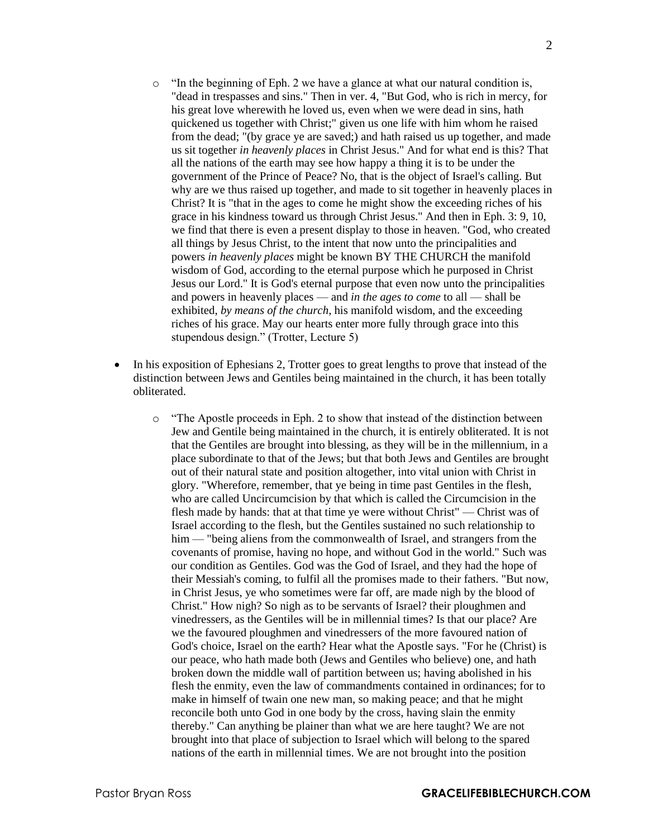- o "In the beginning of Eph. 2 we have a glance at what our natural condition is, "dead in trespasses and sins." Then in ver. 4, "But God, who is rich in mercy, for his great love wherewith he loved us, even when we were dead in sins, hath quickened us together with Christ;" given us one life with him whom he raised from the dead; "(by grace ye are saved;) and hath raised us up together, and made us sit together *in heavenly places* in Christ Jesus." And for what end is this? That all the nations of the earth may see how happy a thing it is to be under the government of the Prince of Peace? No, that is the object of Israel's calling. But why are we thus raised up together, and made to sit together in heavenly places in Christ? It is "that in the ages to come he might show the exceeding riches of his grace in his kindness toward us through Christ Jesus." And then in Eph. 3: 9, 10, we find that there is even a present display to those in heaven. "God, who created all things by Jesus Christ, to the intent that now unto the principalities and powers *in heavenly places* might be known BY THE CHURCH the manifold wisdom of God, according to the eternal purpose which he purposed in Christ Jesus our Lord." It is God's eternal purpose that even now unto the principalities and powers in heavenly places — and *in the ages to come* to all — shall be exhibited, *by means of the church*, his manifold wisdom, and the exceeding riches of his grace. May our hearts enter more fully through grace into this stupendous design." (Trotter, Lecture 5)
- In his exposition of Ephesians 2, Trotter goes to great lengths to prove that instead of the distinction between Jews and Gentiles being maintained in the church, it has been totally obliterated.
	- o "The Apostle proceeds in Eph. 2 to show that instead of the distinction between Jew and Gentile being maintained in the church, it is entirely obliterated. It is not that the Gentiles are brought into blessing, as they will be in the millennium, in a place subordinate to that of the Jews; but that both Jews and Gentiles are brought out of their natural state and position altogether, into vital union with Christ in glory. "Wherefore, remember, that ye being in time past Gentiles in the flesh, who are called Uncircumcision by that which is called the Circumcision in the flesh made by hands: that at that time ye were without Christ" — Christ was of Israel according to the flesh, but the Gentiles sustained no such relationship to him — "being aliens from the commonwealth of Israel, and strangers from the covenants of promise, having no hope, and without God in the world." Such was our condition as Gentiles. God was the God of Israel, and they had the hope of their Messiah's coming, to fulfil all the promises made to their fathers. "But now, in Christ Jesus, ye who sometimes were far off, are made nigh by the blood of Christ." How nigh? So nigh as to be servants of Israel? their ploughmen and vinedressers, as the Gentiles will be in millennial times? Is that our place? Are we the favoured ploughmen and vinedressers of the more favoured nation of God's choice, Israel on the earth? Hear what the Apostle says. "For he (Christ) is our peace, who hath made both (Jews and Gentiles who believe) one, and hath broken down the middle wall of partition between us; having abolished in his flesh the enmity, even the law of commandments contained in ordinances; for to make in himself of twain one new man, so making peace; and that he might reconcile both unto God in one body by the cross, having slain the enmity thereby." Can anything be plainer than what we are here taught? We are not brought into that place of subjection to Israel which will belong to the spared nations of the earth in millennial times. We are not brought into the position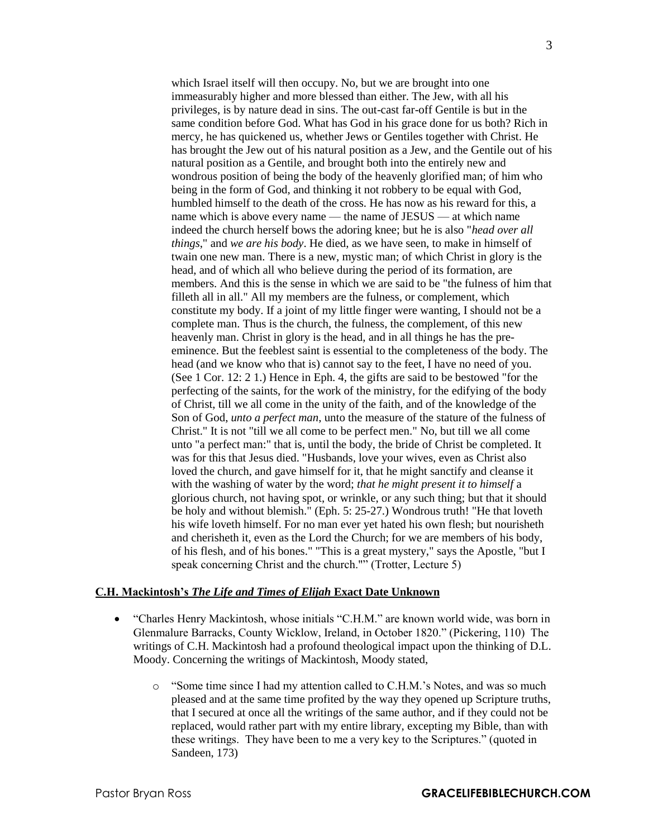which Israel itself will then occupy. No, but we are brought into one immeasurably higher and more blessed than either. The Jew, with all his privileges, is by nature dead in sins. The out-cast far-off Gentile is but in the same condition before God. What has God in his grace done for us both? Rich in mercy, he has quickened us, whether Jews or Gentiles together with Christ. He has brought the Jew out of his natural position as a Jew, and the Gentile out of his natural position as a Gentile, and brought both into the entirely new and wondrous position of being the body of the heavenly glorified man; of him who being in the form of God, and thinking it not robbery to be equal with God, humbled himself to the death of the cross. He has now as his reward for this, a name which is above every name — the name of JESUS — at which name indeed the church herself bows the adoring knee; but he is also "*head over all things*," and *we are his body*. He died, as we have seen, to make in himself of twain one new man. There is a new, mystic man; of which Christ in glory is the head, and of which all who believe during the period of its formation, are members. And this is the sense in which we are said to be "the fulness of him that filleth all in all." All my members are the fulness, or complement, which constitute my body. If a joint of my little finger were wanting, I should not be a complete man. Thus is the church, the fulness, the complement, of this new heavenly man. Christ in glory is the head, and in all things he has the preeminence. But the feeblest saint is essential to the completeness of the body. The head (and we know who that is) cannot say to the feet, I have no need of you. (See 1 Cor. 12: 2 1.) Hence in Eph. 4, the gifts are said to be bestowed "for the perfecting of the saints, for the work of the ministry, for the edifying of the body of Christ, till we all come in the unity of the faith, and of the knowledge of the Son of God, *unto a perfect man*, unto the measure of the stature of the fulness of Christ." It is not "till we all come to be perfect men." No, but till we all come unto "a perfect man:" that is, until the body, the bride of Christ be completed. It was for this that Jesus died. "Husbands, love your wives, even as Christ also loved the church, and gave himself for it, that he might sanctify and cleanse it with the washing of water by the word; *that he might present it to himself* a glorious church, not having spot, or wrinkle, or any such thing; but that it should be holy and without blemish." (Eph. 5: 25-27.) Wondrous truth! "He that loveth his wife loveth himself. For no man ever yet hated his own flesh; but nourisheth and cherisheth it, even as the Lord the Church; for we are members of his body, of his flesh, and of his bones." "This is a great mystery," says the Apostle, "but I speak concerning Christ and the church."" (Trotter, Lecture 5)

## **C.H. Mackintosh's** *The Life and Times of Elijah* **Exact Date Unknown**

- "Charles Henry Mackintosh, whose initials "C.H.M." are known world wide, was born in Glenmalure Barracks, County Wicklow, Ireland, in October 1820." (Pickering, 110) The writings of C.H. Mackintosh had a profound theological impact upon the thinking of D.L. Moody. Concerning the writings of Mackintosh, Moody stated,
	- o "Some time since I had my attention called to C.H.M.'s Notes, and was so much pleased and at the same time profited by the way they opened up Scripture truths, that I secured at once all the writings of the same author, and if they could not be replaced, would rather part with my entire library, excepting my Bible, than with these writings. They have been to me a very key to the Scriptures." (quoted in Sandeen, 173)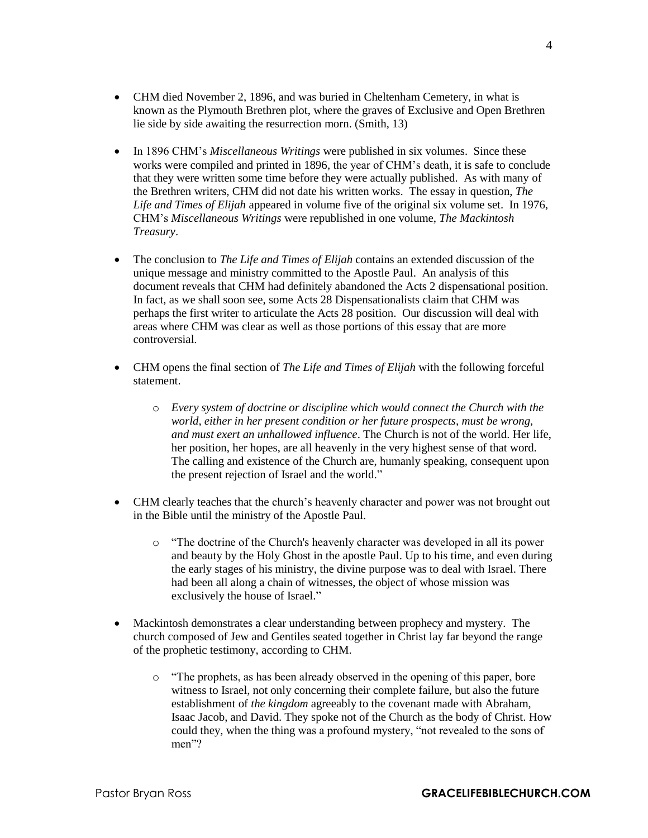- CHM died November 2, 1896, and was buried in Cheltenham Cemetery, in what is known as the Plymouth Brethren plot, where the graves of Exclusive and Open Brethren lie side by side awaiting the resurrection morn. (Smith, 13)
- In 1896 CHM's *Miscellaneous Writings* were published in six volumes. Since these works were compiled and printed in 1896, the year of CHM's death, it is safe to conclude that they were written some time before they were actually published. As with many of the Brethren writers, CHM did not date his written works. The essay in question, *The Life and Times of Elijah* appeared in volume five of the original six volume set. In 1976, CHM's *Miscellaneous Writings* were republished in one volume, *The Mackintosh Treasury*.
- The conclusion to *The Life and Times of Elijah* contains an extended discussion of the unique message and ministry committed to the Apostle Paul. An analysis of this document reveals that CHM had definitely abandoned the Acts 2 dispensational position. In fact, as we shall soon see, some Acts 28 Dispensationalists claim that CHM was perhaps the first writer to articulate the Acts 28 position. Our discussion will deal with areas where CHM was clear as well as those portions of this essay that are more controversial.
- CHM opens the final section of *The Life and Times of Elijah* with the following forceful statement.
	- o *Every system of doctrine or discipline which would connect the Church with the world, either in her present condition or her future prospects, must be wrong, and must exert an unhallowed influence*. The Church is not of the world. Her life, her position, her hopes, are all heavenly in the very highest sense of that word. The calling and existence of the Church are, humanly speaking, consequent upon the present rejection of Israel and the world."
- CHM clearly teaches that the church's heavenly character and power was not brought out in the Bible until the ministry of the Apostle Paul.
	- o "The doctrine of the Church's heavenly character was developed in all its power and beauty by the Holy Ghost in the apostle Paul. Up to his time, and even during the early stages of his ministry, the divine purpose was to deal with Israel. There had been all along a chain of witnesses, the object of whose mission was exclusively the house of Israel."
- Mackintosh demonstrates a clear understanding between prophecy and mystery. The church composed of Jew and Gentiles seated together in Christ lay far beyond the range of the prophetic testimony, according to CHM.
	- o "The prophets, as has been already observed in the opening of this paper, bore witness to Israel, not only concerning their complete failure, but also the future establishment of *the kingdom* agreeably to the covenant made with Abraham, Isaac Jacob, and David. They spoke not of the Church as the body of Christ. How could they, when the thing was a profound mystery, "not revealed to the sons of men"?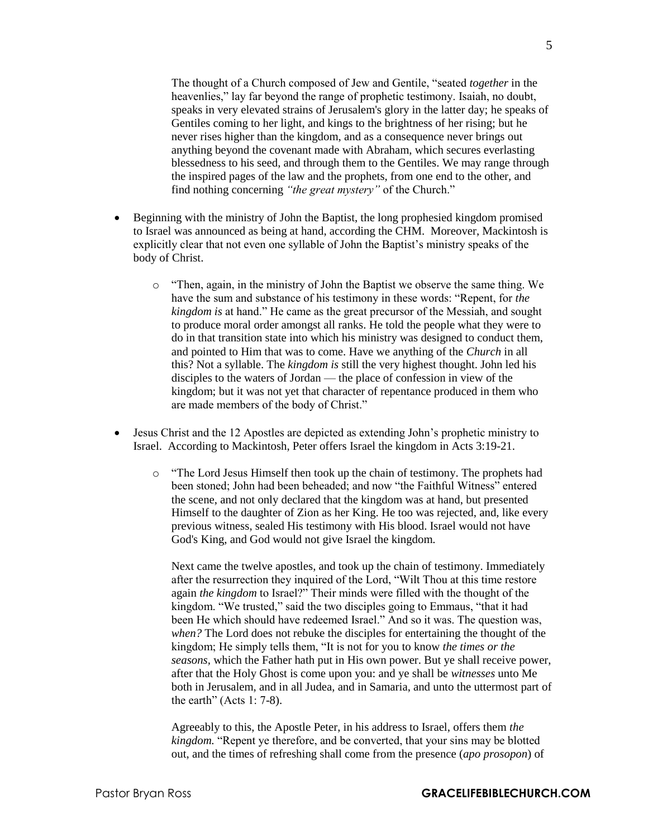The thought of a Church composed of Jew and Gentile, "seated *together* in the heavenlies," lay far beyond the range of prophetic testimony. Isaiah, no doubt, speaks in very elevated strains of Jerusalem's glory in the latter day; he speaks of Gentiles coming to her light, and kings to the brightness of her rising; but he never rises higher than the kingdom, and as a consequence never brings out anything beyond the covenant made with Abraham, which secures everlasting blessedness to his seed, and through them to the Gentiles. We may range through the inspired pages of the law and the prophets, from one end to the other, and find nothing concerning *"the great mystery"* of the Church."

- Beginning with the ministry of John the Baptist, the long prophesied kingdom promised to Israel was announced as being at hand, according the CHM. Moreover, Mackintosh is explicitly clear that not even one syllable of John the Baptist's ministry speaks of the body of Christ.
	- $\circ$  "Then, again, in the ministry of John the Baptist we observe the same thing. We have the sum and substance of his testimony in these words: "Repent, for *the kingdom is* at hand." He came as the great precursor of the Messiah, and sought to produce moral order amongst all ranks. He told the people what they were to do in that transition state into which his ministry was designed to conduct them, and pointed to Him that was to come. Have we anything of the *Church* in all this? Not a syllable. The *kingdom is* still the very highest thought. John led his disciples to the waters of Jordan — the place of confession in view of the kingdom; but it was not yet that character of repentance produced in them who are made members of the body of Christ."
- Jesus Christ and the 12 Apostles are depicted as extending John's prophetic ministry to Israel. According to Mackintosh, Peter offers Israel the kingdom in Acts 3:19-21.
	- o "The Lord Jesus Himself then took up the chain of testimony. The prophets had been stoned; John had been beheaded; and now "the Faithful Witness" entered the scene, and not only declared that the kingdom was at hand, but presented Himself to the daughter of Zion as her King. He too was rejected, and, like every previous witness, sealed His testimony with His blood. Israel would not have God's King, and God would not give Israel the kingdom.

Next came the twelve apostles, and took up the chain of testimony. Immediately after the resurrection they inquired of the Lord, "Wilt Thou at this time restore again *the kingdom* to Israel?" Their minds were filled with the thought of the kingdom. "We trusted," said the two disciples going to Emmaus, "that it had been He which should have redeemed Israel." And so it was. The question was, *when?* The Lord does not rebuke the disciples for entertaining the thought of the kingdom; He simply tells them, "It is not for you to know *the times or the seasons,* which the Father hath put in His own power. But ye shall receive power, after that the Holy Ghost is come upon you: and ye shall be *witnesses* unto Me both in Jerusalem, and in all Judea, and in Samaria, and unto the uttermost part of the earth" (Acts 1: 7-8).

Agreeably to this, the Apostle Peter, in his address to Israel, offers them *the kingdom.* "Repent ye therefore, and be converted, that your sins may be blotted out, and the times of refreshing shall come from the presence (*apo prosopon*) of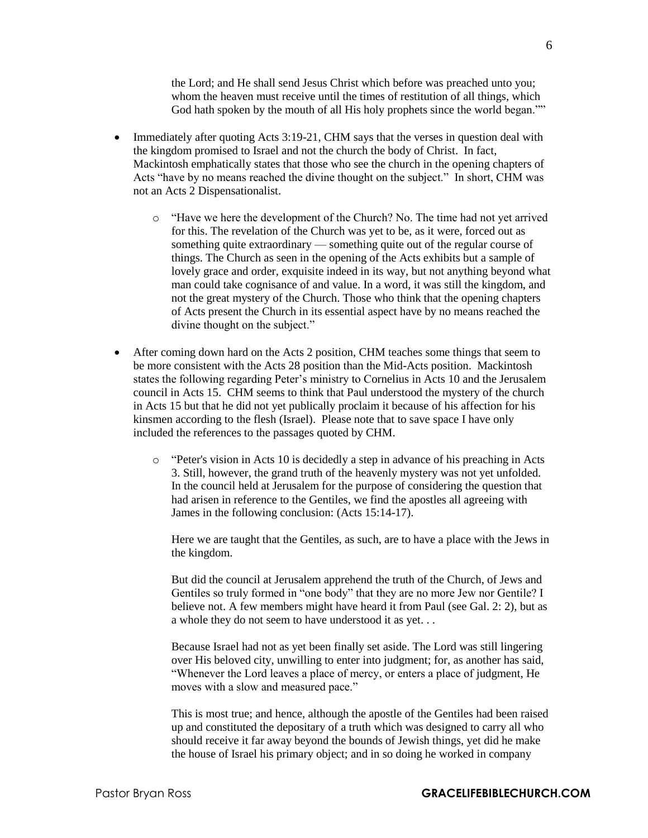the Lord; and He shall send Jesus Christ which before was preached unto you; whom the heaven must receive until the times of restitution of all things, which God hath spoken by the mouth of all His holy prophets since the world began.""

- Immediately after quoting Acts 3:19-21, CHM says that the verses in question deal with the kingdom promised to Israel and not the church the body of Christ. In fact, Mackintosh emphatically states that those who see the church in the opening chapters of Acts "have by no means reached the divine thought on the subject." In short, CHM was not an Acts 2 Dispensationalist.
	- o "Have we here the development of the Church? No. The time had not yet arrived for this. The revelation of the Church was yet to be, as it were, forced out as something quite extraordinary — something quite out of the regular course of things. The Church as seen in the opening of the Acts exhibits but a sample of lovely grace and order*,* exquisite indeed in its way, but not anything beyond what man could take cognisance of and value. In a word, it was still the kingdom, and not the great mystery of the Church. Those who think that the opening chapters of Acts present the Church in its essential aspect have by no means reached the divine thought on the subject."
- After coming down hard on the Acts 2 position, CHM teaches some things that seem to be more consistent with the Acts 28 position than the Mid-Acts position. Mackintosh states the following regarding Peter's ministry to Cornelius in Acts 10 and the Jerusalem council in Acts 15. CHM seems to think that Paul understood the mystery of the church in Acts 15 but that he did not yet publically proclaim it because of his affection for his kinsmen according to the flesh (Israel). Please note that to save space I have only included the references to the passages quoted by CHM.
	- o "Peter's vision in Acts 10 is decidedly a step in advance of his preaching in Acts 3. Still, however, the grand truth of the heavenly mystery was not yet unfolded. In the council held at Jerusalem for the purpose of considering the question that had arisen in reference to the Gentiles, we find the apostles all agreeing with James in the following conclusion: (Acts 15:14-17).

Here we are taught that the Gentiles, as such, are to have a place with the Jews in the kingdom.

But did the council at Jerusalem apprehend the truth of the Church, of Jews and Gentiles so truly formed in "one body" that they are no more Jew nor Gentile? I believe not. A few members might have heard it from Paul (see Gal. 2: 2), but as a whole they do not seem to have understood it as yet. . .

Because Israel had not as yet been finally set aside. The Lord was still lingering over His beloved city, unwilling to enter into judgment; for, as another has said, "Whenever the Lord leaves a place of mercy, or enters a place of judgment, He moves with a slow and measured pace."

This is most true; and hence, although the apostle of the Gentiles had been raised up and constituted the depositary of a truth which was designed to carry all who should receive it far away beyond the bounds of Jewish things, yet did he make the house of Israel his primary object; and in so doing he worked in company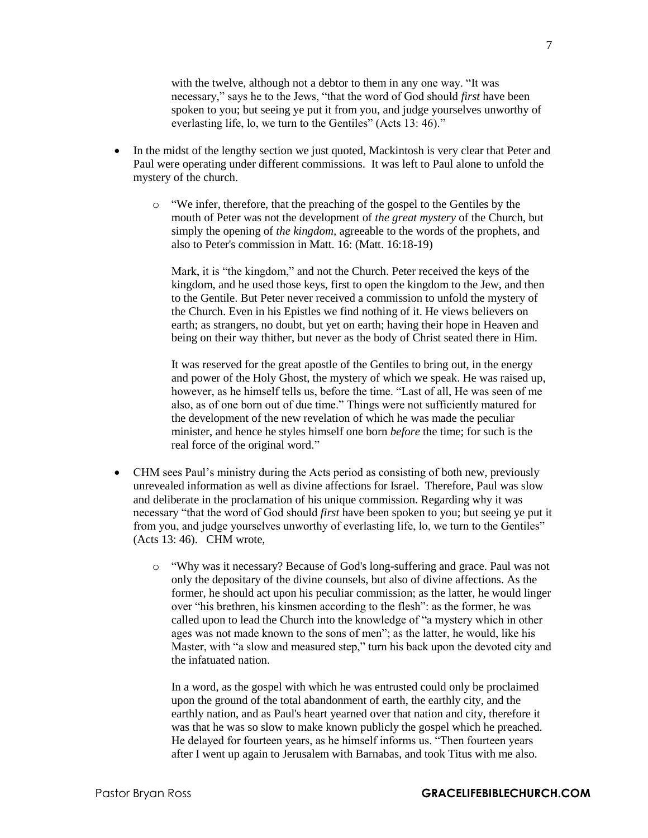with the twelve, although not a debtor to them in any one way. "It was necessary," says he to the Jews, "that the word of God should *first* have been spoken to you; but seeing ye put it from you, and judge yourselves unworthy of everlasting life, lo, we turn to the Gentiles" (Acts 13: 46)."

- In the midst of the lengthy section we just quoted, Mackintosh is very clear that Peter and Paul were operating under different commissions. It was left to Paul alone to unfold the mystery of the church.
	- o "We infer, therefore, that the preaching of the gospel to the Gentiles by the mouth of Peter was not the development of *the great mystery* of the Church, but simply the opening of *the kingdom,* agreeable to the words of the prophets, and also to Peter's commission in Matt. 16: (Matt. 16:18-19)

Mark, it is "the kingdom," and not the Church. Peter received the keys of the kingdom, and he used those keys, first to open the kingdom to the Jew, and then to the Gentile. But Peter never received a commission to unfold the mystery of the Church. Even in his Epistles we find nothing of it. He views believers on earth; as strangers, no doubt, but yet on earth; having their hope in Heaven and being on their way thither, but never as the body of Christ seated there in Him.

It was reserved for the great apostle of the Gentiles to bring out, in the energy and power of the Holy Ghost, the mystery of which we speak. He was raised up, however, as he himself tells us, before the time. "Last of all, He was seen of me also, as of one born out of due time." Things were not sufficiently matured for the development of the new revelation of which he was made the peculiar minister, and hence he styles himself one born *before* the time; for such is the real force of the original word."

- CHM sees Paul's ministry during the Acts period as consisting of both new, previously unrevealed information as well as divine affections for Israel. Therefore, Paul was slow and deliberate in the proclamation of his unique commission. Regarding why it was necessary "that the word of God should *first* have been spoken to you; but seeing ye put it from you, and judge yourselves unworthy of everlasting life, lo, we turn to the Gentiles" (Acts 13: 46). CHM wrote,
	- o "Why was it necessary? Because of God's long-suffering and grace. Paul was not only the depositary of the divine counsels, but also of divine affections. As the former, he should act upon his peculiar commission; as the latter, he would linger over "his brethren, his kinsmen according to the flesh": as the former, he was called upon to lead the Church into the knowledge of "a mystery which in other ages was not made known to the sons of men"; as the latter, he would, like his Master, with "a slow and measured step," turn his back upon the devoted city and the infatuated nation.

In a word, as the gospel with which he was entrusted could only be proclaimed upon the ground of the total abandonment of earth, the earthly city, and the earthly nation, and as Paul's heart yearned over that nation and city, therefore it was that he was so slow to make known publicly the gospel which he preached. He delayed for fourteen years, as he himself informs us. "Then fourteen years after I went up again to Jerusalem with Barnabas, and took Titus with me also.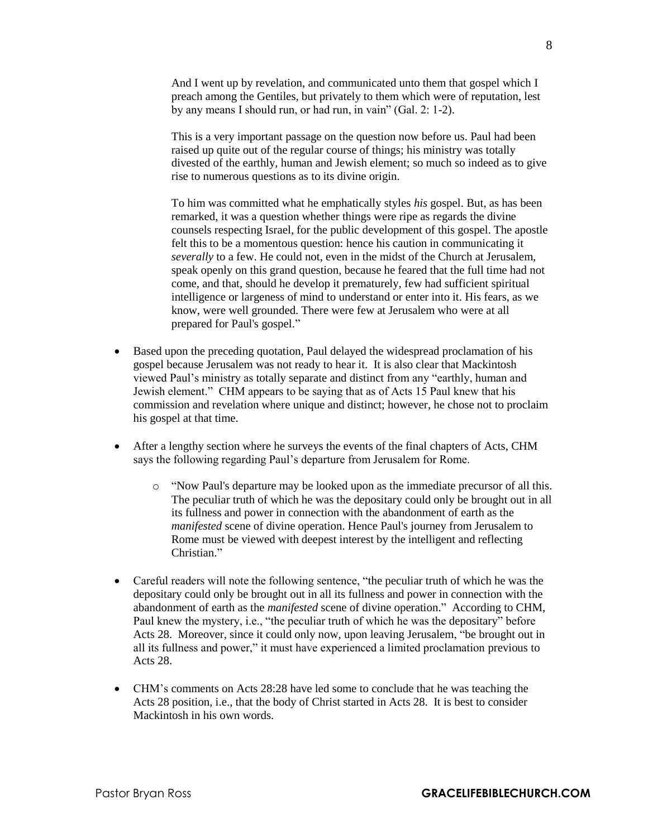And I went up by revelation, and communicated unto them that gospel which I preach among the Gentiles, but privately to them which were of reputation, lest by any means I should run, or had run, in vain" (Gal. 2: 1-2).

This is a very important passage on the question now before us. Paul had been raised up quite out of the regular course of things; his ministry was totally divested of the earthly, human and Jewish element; so much so indeed as to give rise to numerous questions as to its divine origin.

To him was committed what he emphatically styles *his* gospel. But, as has been remarked, it was a question whether things were ripe as regards the divine counsels respecting Israel, for the public development of this gospel. The apostle felt this to be a momentous question: hence his caution in communicating it *severally* to a few. He could not, even in the midst of the Church at Jerusalem, speak openly on this grand question, because he feared that the full time had not come, and that, should he develop it prematurely, few had sufficient spiritual intelligence or largeness of mind to understand or enter into it. His fears, as we know, were well grounded. There were few at Jerusalem who were at all prepared for Paul's gospel."

- Based upon the preceding quotation, Paul delayed the widespread proclamation of his gospel because Jerusalem was not ready to hear it. It is also clear that Mackintosh viewed Paul's ministry as totally separate and distinct from any "earthly, human and Jewish element." CHM appears to be saying that as of Acts 15 Paul knew that his commission and revelation where unique and distinct; however, he chose not to proclaim his gospel at that time.
- After a lengthy section where he surveys the events of the final chapters of Acts, CHM says the following regarding Paul's departure from Jerusalem for Rome.
	- o "Now Paul's departure may be looked upon as the immediate precursor of all this. The peculiar truth of which he was the depositary could only be brought out in all its fullness and power in connection with the abandonment of earth as the *manifested* scene of divine operation. Hence Paul's journey from Jerusalem to Rome must be viewed with deepest interest by the intelligent and reflecting Christian."
- Careful readers will note the following sentence, "the peculiar truth of which he was the depositary could only be brought out in all its fullness and power in connection with the abandonment of earth as the *manifested* scene of divine operation." According to CHM, Paul knew the mystery, i.e., "the peculiar truth of which he was the depositary" before Acts 28. Moreover, since it could only now, upon leaving Jerusalem, "be brought out in all its fullness and power," it must have experienced a limited proclamation previous to Acts 28.
- CHM's comments on Acts 28:28 have led some to conclude that he was teaching the Acts 28 position, i.e., that the body of Christ started in Acts 28. It is best to consider Mackintosh in his own words.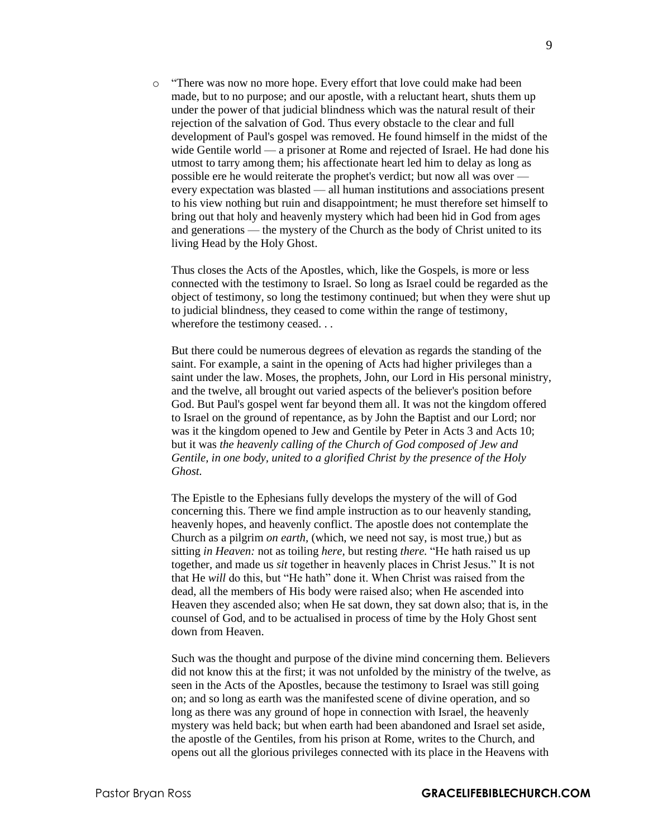o "There was now no more hope. Every effort that love could make had been made, but to no purpose; and our apostle, with a reluctant heart, shuts them up under the power of that judicial blindness which was the natural result of their rejection of the salvation of God. Thus every obstacle to the clear and full development of Paul's gospel was removed. He found himself in the midst of the wide Gentile world — a prisoner at Rome and rejected of Israel. He had done his utmost to tarry among them; his affectionate heart led him to delay as long as possible ere he would reiterate the prophet's verdict; but now all was over every expectation was blasted — all human institutions and associations present to his view nothing but ruin and disappointment; he must therefore set himself to bring out that holy and heavenly mystery which had been hid in God from ages and generations — the mystery of the Church as the body of Christ united to its living Head by the Holy Ghost.

Thus closes the Acts of the Apostles, which, like the Gospels, is more or less connected with the testimony to Israel. So long as Israel could be regarded as the object of testimony, so long the testimony continued; but when they were shut up to judicial blindness, they ceased to come within the range of testimony, wherefore the testimony ceased...

But there could be numerous degrees of elevation as regards the standing of the saint. For example, a saint in the opening of Acts had higher privileges than a saint under the law. Moses, the prophets, John, our Lord in His personal ministry, and the twelve, all brought out varied aspects of the believer's position before God. But Paul's gospel went far beyond them all. It was not the kingdom offered to Israel on the ground of repentance, as by John the Baptist and our Lord; nor was it the kingdom opened to Jew and Gentile by Peter in Acts 3 and Acts 10; but it was *the heavenly calling of the Church of God composed of Jew and Gentile, in one body, united to a glorified Christ by the presence of the Holy Ghost.*

The Epistle to the Ephesians fully develops the mystery of the will of God concerning this. There we find ample instruction as to our heavenly standing, heavenly hopes, and heavenly conflict. The apostle does not contemplate the Church as a pilgrim *on earth,* (which, we need not say, is most true,) but as sitting *in Heaven:* not as toiling *here,* but resting *there.* "He hath raised us up together, and made us *sit* together in heavenly places in Christ Jesus." It is not that He *will* do this, but "He hath" done it. When Christ was raised from the dead, all the members of His body were raised also; when He ascended into Heaven they ascended also; when He sat down, they sat down also; that is, in the counsel of God, and to be actualised in process of time by the Holy Ghost sent down from Heaven.

Such was the thought and purpose of the divine mind concerning them. Believers did not know this at the first; it was not unfolded by the ministry of the twelve, as seen in the Acts of the Apostles, because the testimony to Israel was still going on; and so long as earth was the manifested scene of divine operation, and so long as there was any ground of hope in connection with Israel, the heavenly mystery was held back; but when earth had been abandoned and Israel set aside, the apostle of the Gentiles, from his prison at Rome, writes to the Church, and opens out all the glorious privileges connected with its place in the Heavens with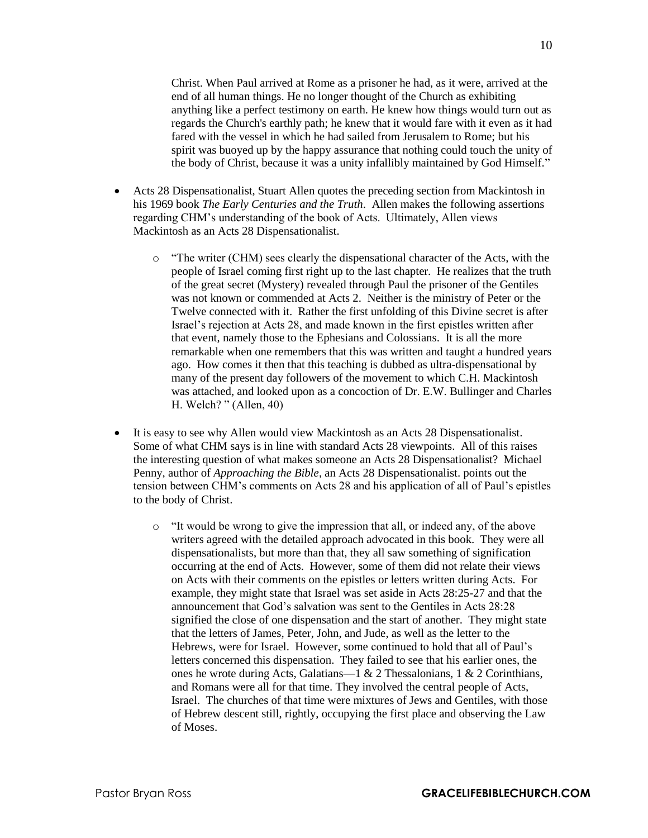Christ. When Paul arrived at Rome as a prisoner he had, as it were, arrived at the end of all human things. He no longer thought of the Church as exhibiting anything like a perfect testimony on earth. He knew how things would turn out as regards the Church's earthly path; he knew that it would fare with it even as it had fared with the vessel in which he had sailed from Jerusalem to Rome; but his spirit was buoyed up by the happy assurance that nothing could touch the unity of the body of Christ, because it was a unity infallibly maintained by God Himself."

- Acts 28 Dispensationalist, Stuart Allen quotes the preceding section from Mackintosh in his 1969 book *The Early Centuries and the Truth*. Allen makes the following assertions regarding CHM's understanding of the book of Acts. Ultimately, Allen views Mackintosh as an Acts 28 Dispensationalist.
	- $\circ$  "The writer (CHM) sees clearly the dispensational character of the Acts, with the people of Israel coming first right up to the last chapter. He realizes that the truth of the great secret (Mystery) revealed through Paul the prisoner of the Gentiles was not known or commended at Acts 2. Neither is the ministry of Peter or the Twelve connected with it. Rather the first unfolding of this Divine secret is after Israel's rejection at Acts 28, and made known in the first epistles written after that event, namely those to the Ephesians and Colossians. It is all the more remarkable when one remembers that this was written and taught a hundred years ago. How comes it then that this teaching is dubbed as ultra-dispensational by many of the present day followers of the movement to which C.H. Mackintosh was attached, and looked upon as a concoction of Dr. E.W. Bullinger and Charles H. Welch? " (Allen, 40)
- It is easy to see why Allen would view Mackintosh as an Acts 28 Dispensationalist. Some of what CHM says is in line with standard Acts 28 viewpoints. All of this raises the interesting question of what makes someone an Acts 28 Dispensationalist? Michael Penny, author of *Approaching the Bible*, an Acts 28 Dispensationalist. points out the tension between CHM's comments on Acts 28 and his application of all of Paul's epistles to the body of Christ.
	- $\circ$  "It would be wrong to give the impression that all, or indeed any, of the above writers agreed with the detailed approach advocated in this book. They were all dispensationalists, but more than that, they all saw something of signification occurring at the end of Acts. However, some of them did not relate their views on Acts with their comments on the epistles or letters written during Acts. For example, they might state that Israel was set aside in Acts 28:25-27 and that the announcement that God's salvation was sent to the Gentiles in Acts 28:28 signified the close of one dispensation and the start of another. They might state that the letters of James, Peter, John, and Jude, as well as the letter to the Hebrews, were for Israel. However, some continued to hold that all of Paul's letters concerned this dispensation. They failed to see that his earlier ones, the ones he wrote during Acts, Galatians—1 & 2 Thessalonians, 1 & 2 Corinthians, and Romans were all for that time. They involved the central people of Acts, Israel. The churches of that time were mixtures of Jews and Gentiles, with those of Hebrew descent still, rightly, occupying the first place and observing the Law of Moses.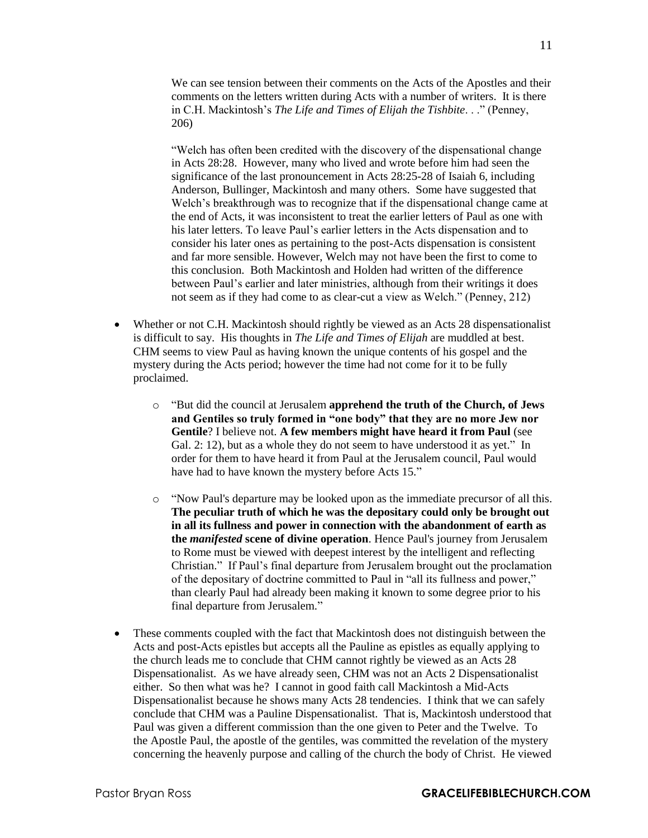We can see tension between their comments on the Acts of the Apostles and their comments on the letters written during Acts with a number of writers. It is there in C.H. Mackintosh's *The Life and Times of Elijah the Tishbite*. . ." (Penney, 206)

"Welch has often been credited with the discovery of the dispensational change in Acts 28:28. However, many who lived and wrote before him had seen the significance of the last pronouncement in Acts 28:25-28 of Isaiah 6, including Anderson, Bullinger, Mackintosh and many others. Some have suggested that Welch's breakthrough was to recognize that if the dispensational change came at the end of Acts, it was inconsistent to treat the earlier letters of Paul as one with his later letters. To leave Paul's earlier letters in the Acts dispensation and to consider his later ones as pertaining to the post-Acts dispensation is consistent and far more sensible. However, Welch may not have been the first to come to this conclusion. Both Mackintosh and Holden had written of the difference between Paul's earlier and later ministries, although from their writings it does not seem as if they had come to as clear-cut a view as Welch." (Penney, 212)

- Whether or not C.H. Mackintosh should rightly be viewed as an Acts 28 dispensationalist is difficult to say. His thoughts in *The Life and Times of Elijah* are muddled at best. CHM seems to view Paul as having known the unique contents of his gospel and the mystery during the Acts period; however the time had not come for it to be fully proclaimed.
	- o "But did the council at Jerusalem **apprehend the truth of the Church, of Jews and Gentiles so truly formed in "one body" that they are no more Jew nor Gentile**? I believe not. **A few members might have heard it from Paul** (see Gal. 2: 12), but as a whole they do not seem to have understood it as yet." In order for them to have heard it from Paul at the Jerusalem council, Paul would have had to have known the mystery before Acts 15."
	- o "Now Paul's departure may be looked upon as the immediate precursor of all this. **The peculiar truth of which he was the depositary could only be brought out in all its fullness and power in connection with the abandonment of earth as the** *manifested* **scene of divine operation**. Hence Paul's journey from Jerusalem to Rome must be viewed with deepest interest by the intelligent and reflecting Christian." If Paul's final departure from Jerusalem brought out the proclamation of the depositary of doctrine committed to Paul in "all its fullness and power," than clearly Paul had already been making it known to some degree prior to his final departure from Jerusalem."
- These comments coupled with the fact that Mackintosh does not distinguish between the Acts and post-Acts epistles but accepts all the Pauline as epistles as equally applying to the church leads me to conclude that CHM cannot rightly be viewed as an Acts 28 Dispensationalist. As we have already seen, CHM was not an Acts 2 Dispensationalist either. So then what was he? I cannot in good faith call Mackintosh a Mid-Acts Dispensationalist because he shows many Acts 28 tendencies. I think that we can safely conclude that CHM was a Pauline Dispensationalist. That is, Mackintosh understood that Paul was given a different commission than the one given to Peter and the Twelve. To the Apostle Paul, the apostle of the gentiles, was committed the revelation of the mystery concerning the heavenly purpose and calling of the church the body of Christ. He viewed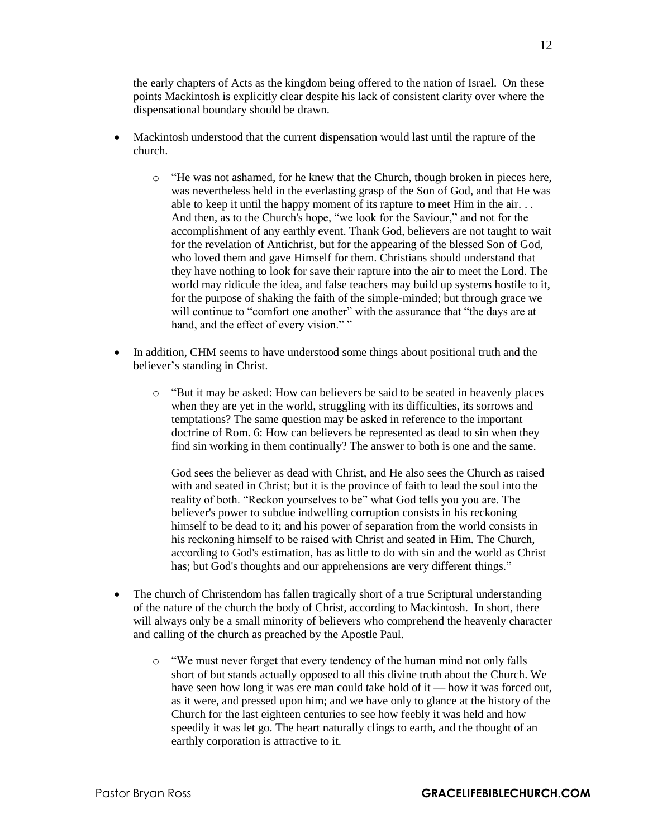the early chapters of Acts as the kingdom being offered to the nation of Israel. On these points Mackintosh is explicitly clear despite his lack of consistent clarity over where the dispensational boundary should be drawn.

- Mackintosh understood that the current dispensation would last until the rapture of the church.
	- $\circ$  "He was not ashamed, for he knew that the Church, though broken in pieces here, was nevertheless held in the everlasting grasp of the Son of God, and that He was able to keep it until the happy moment of its rapture to meet Him in the air. . . And then, as to the Church's hope, "we look for the Saviour," and not for the accomplishment of any earthly event. Thank God, believers are not taught to wait for the revelation of Antichrist, but for the appearing of the blessed Son of God, who loved them and gave Himself for them. Christians should understand that they have nothing to look for save their rapture into the air to meet the Lord. The world may ridicule the idea, and false teachers may build up systems hostile to it, for the purpose of shaking the faith of the simple-minded; but through grace we will continue to "comfort one another" with the assurance that "the days are at hand, and the effect of every vision.""
- In addition, CHM seems to have understood some things about positional truth and the believer's standing in Christ.
	- o "But it may be asked: How can believers be said to be seated in heavenly places when they are yet in the world, struggling with its difficulties, its sorrows and temptations? The same question may be asked in reference to the important doctrine of Rom. 6: How can believers be represented as dead to sin when they find sin working in them continually? The answer to both is one and the same.

God sees the believer as dead with Christ, and He also sees the Church as raised with and seated in Christ; but it is the province of faith to lead the soul into the reality of both. "Reckon yourselves to be" what God tells you you are. The believer's power to subdue indwelling corruption consists in his reckoning himself to be dead to it; and his power of separation from the world consists in his reckoning himself to be raised with Christ and seated in Him. The Church, according to God's estimation, has as little to do with sin and the world as Christ has; but God's thoughts and our apprehensions are very different things."

- The church of Christendom has fallen tragically short of a true Scriptural understanding of the nature of the church the body of Christ, according to Mackintosh. In short, there will always only be a small minority of believers who comprehend the heavenly character and calling of the church as preached by the Apostle Paul.
	- $\circ$  "We must never forget that every tendency of the human mind not only falls short of but stands actually opposed to all this divine truth about the Church. We have seen how long it was ere man could take hold of it — how it was forced out, as it were, and pressed upon him; and we have only to glance at the history of the Church for the last eighteen centuries to see how feebly it was held and how speedily it was let go. The heart naturally clings to earth, and the thought of an earthly corporation is attractive to it.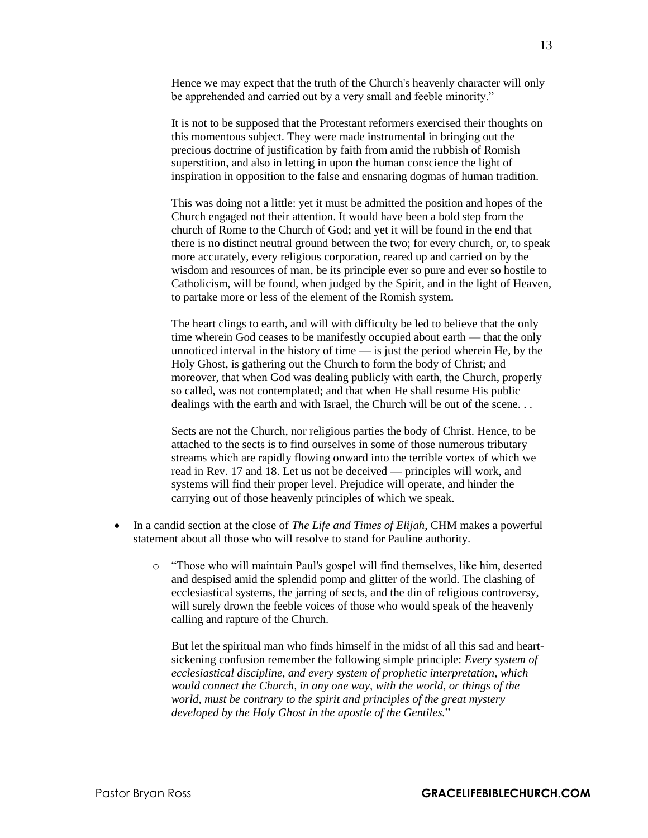Hence we may expect that the truth of the Church's heavenly character will only be apprehended and carried out by a very small and feeble minority."

It is not to be supposed that the Protestant reformers exercised their thoughts on this momentous subject. They were made instrumental in bringing out the precious doctrine of justification by faith from amid the rubbish of Romish superstition, and also in letting in upon the human conscience the light of inspiration in opposition to the false and ensnaring dogmas of human tradition.

This was doing not a little: yet it must be admitted the position and hopes of the Church engaged not their attention. It would have been a bold step from the church of Rome to the Church of God; and yet it will be found in the end that there is no distinct neutral ground between the two; for every church, or, to speak more accurately, every religious corporation, reared up and carried on by the wisdom and resources of man, be its principle ever so pure and ever so hostile to Catholicism, will be found, when judged by the Spirit, and in the light of Heaven, to partake more or less of the element of the Romish system.

The heart clings to earth, and will with difficulty be led to believe that the only time wherein God ceases to be manifestly occupied about earth — that the only unnoticed interval in the history of time  $\frac{1}{\sqrt{2}}$  is just the period wherein He, by the Holy Ghost, is gathering out the Church to form the body of Christ; and moreover, that when God was dealing publicly with earth, the Church, properly so called, was not contemplated; and that when He shall resume His public dealings with the earth and with Israel, the Church will be out of the scene. . .

Sects are not the Church, nor religious parties the body of Christ. Hence, to be attached to the sects is to find ourselves in some of those numerous tributary streams which are rapidly flowing onward into the terrible vortex of which we read in Rev. 17 and 18. Let us not be deceived — principles will work, and systems will find their proper level. Prejudice will operate, and hinder the carrying out of those heavenly principles of which we speak.

- In a candid section at the close of *The Life and Times of Elijah*, CHM makes a powerful statement about all those who will resolve to stand for Pauline authority.
	- o "Those who will maintain Paul's gospel will find themselves, like him, deserted and despised amid the splendid pomp and glitter of the world. The clashing of ecclesiastical systems, the jarring of sects, and the din of religious controversy, will surely drown the feeble voices of those who would speak of the heavenly calling and rapture of the Church.

But let the spiritual man who finds himself in the midst of all this sad and heartsickening confusion remember the following simple principle: *Every system of ecclesiastical discipline, and every system of prophetic interpretation, which would connect the Church, in any one way, with the world, or things of the world, must be contrary to the spirit and principles of the great mystery developed by the Holy Ghost in the apostle of the Gentiles.*"